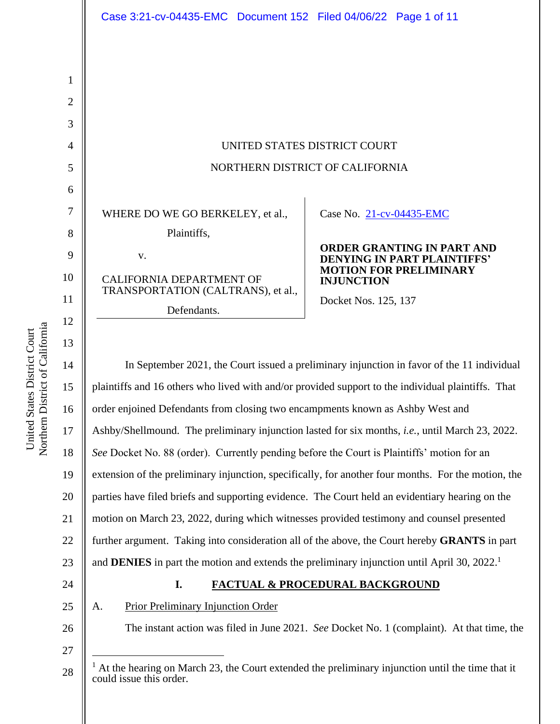| Case 3:21-cv-04435-EMC  Document 152  Filed 04/06/22  Page 1 of 11 |  |  |  |
|--------------------------------------------------------------------|--|--|--|
|--------------------------------------------------------------------|--|--|--|

| UNITED STATES DISTRICT COURT    |  |
|---------------------------------|--|
| NORTHERN DISTRICT OF CALIFORNIA |  |

WHERE DO WE GO BERKELEY, et al.,

Plaintiffs,

v.

CALIFORNIA DEPARTMENT OF TRANSPORTATION (CALTRANS), et al., Defendants.

Case No. 21-cv-04435-EMC

**ORDER GRANTING IN PART AND DENYING IN PART PLAINTIFFS' MOTION FOR PRELIMINARY INJUNCTION**

Docket Nos. 125, 137

In September 2021, the Court issued a preliminary injunction in favor of the 11 individual plaintiffs and 16 others who lived with and/or provided support to the individual plaintiffs. That order enjoined Defendants from closing two encampments known as Ashby West and Ashby/Shellmound. The preliminary injunction lasted for six months, *i.e.*, until March 23, 2022. *See* Docket No. 88 (order). Currently pending before the Court is Plaintiffs' motion for an extension of the preliminary injunction, specifically, for another four months. For the motion, the parties have filed briefs and supporting evidence. The Court held an evidentiary hearing on the motion on March 23, 2022, during which witnesses provided testimony and counsel presented further argument. Taking into consideration all of the above, the Court hereby **GRANTS** in part and **DENIES** in part the motion and extends the preliminary injunction until April 30, 2022. 1

24

# **I. FACTUAL & PROCEDURAL BACKGROUND**

25 26

# A. Prior Preliminary Injunction Order

The instant action was filed in June 2021. *See* Docket No. 1 (complaint). At that time, the

27

28

1

2

3

4

5

6

7

8

9

10

11

12

13

14

15

16

17

18

19

20

21

22

<sup>1</sup> At the hearing on March 23, the Court extended the preliminary injunction until the time that it could issue this order.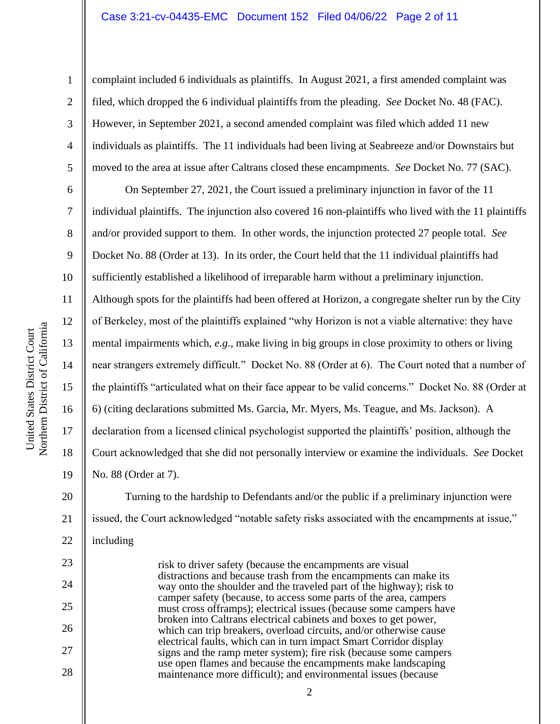#### Case 3:21-cv-04435-EMC Document 152 Filed 04/06/22 Page 2 of 11

complaint included 6 individuals as plaintiffs. In August 2021, a first amended complaint was filed, which dropped the 6 individual plaintiffs from the pleading. *See* Docket No. 48 (FAC). However, in September 2021, a second amended complaint was filed which added 11 new individuals as plaintiffs. The 11 individuals had been living at Seabreeze and/or Downstairs but moved to the area at issue after Caltrans closed these encampments. *See* Docket No. 77 (SAC).

On September 27, 2021, the Court issued a preliminary injunction in favor of the 11 individual plaintiffs. The injunction also covered 16 non-plaintiffs who lived with the 11 plaintiffs and/or provided support to them. In other words, the injunction protected 27 people total. *See* Docket No. 88 (Order at 13). In its order, the Court held that the 11 individual plaintiffs had sufficiently established a likelihood of irreparable harm without a preliminary injunction. Although spots for the plaintiffs had been offered at Horizon, a congregate shelter run by the City of Berkeley, most of the plaintiffs explained "why Horizon is not a viable alternative: they have mental impairments which, *e.g.*, make living in big groups in close proximity to others or living near strangers extremely difficult." Docket No. 88 (Order at 6). The Court noted that a number of the plaintiffs "articulated what on their face appear to be valid concerns." Docket No. 88 (Order at 6) (citing declarations submitted Ms. Garcia, Mr. Myers, Ms. Teague, and Ms. Jackson). A declaration from a licensed clinical psychologist supported the plaintiffs' position, although the Court acknowledged that she did not personally interview or examine the individuals. *See* Docket No. 88 (Order at 7).

20 21 22 Turning to the hardship to Defendants and/or the public if a preliminary injunction were issued, the Court acknowledged "notable safety risks associated with the encampments at issue," including

> risk to driver safety (because the encampments are visual distractions and because trash from the encampments can make its way onto the shoulder and the traveled part of the highway); risk to camper safety (because, to access some parts of the area, campers must cross offramps); electrical issues (because some campers have broken into Caltrans electrical cabinets and boxes to get power, which can trip breakers, overload circuits, and/or otherwise cause electrical faults, which can in turn impact Smart Corridor display signs and the ramp meter system); fire risk (because some campers use open flames and because the encampments make landscaping maintenance more difficult); and environmental issues (because

1

2

3

4

5

6

7

8

9

10

11

12

13

14

15

16

17

18

19

23

24

25

26

27

28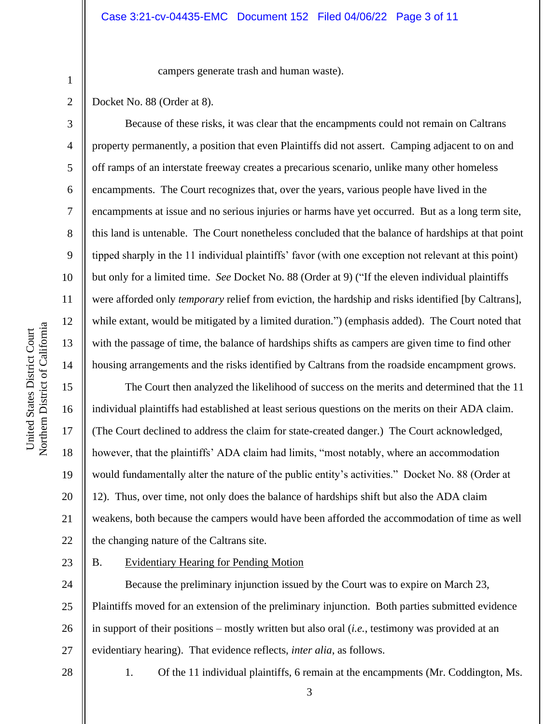campers generate trash and human waste).

Docket No. 88 (Order at 8).

1

2

3

4

5

6

7

8

9

10

11

12

13

14

15

16

17

18

19

20

21

22

Because of these risks, it was clear that the encampments could not remain on Caltrans property permanently, a position that even Plaintiffs did not assert. Camping adjacent to on and off ramps of an interstate freeway creates a precarious scenario, unlike many other homeless encampments. The Court recognizes that, over the years, various people have lived in the encampments at issue and no serious injuries or harms have yet occurred. But as a long term site, this land is untenable. The Court nonetheless concluded that the balance of hardships at that point tipped sharply in the 11 individual plaintiffs' favor (with one exception not relevant at this point) but only for a limited time. *See* Docket No. 88 (Order at 9) ("If the eleven individual plaintiffs were afforded only *temporary* relief from eviction, the hardship and risks identified [by Caltrans], while extant, would be mitigated by a limited duration.") (emphasis added). The Court noted that with the passage of time, the balance of hardships shifts as campers are given time to find other housing arrangements and the risks identified by Caltrans from the roadside encampment grows.

The Court then analyzed the likelihood of success on the merits and determined that the 11 individual plaintiffs had established at least serious questions on the merits on their ADA claim. (The Court declined to address the claim for state-created danger.) The Court acknowledged, however, that the plaintiffs' ADA claim had limits, "most notably, where an accommodation would fundamentally alter the nature of the public entity's activities." Docket No. 88 (Order at 12). Thus, over time, not only does the balance of hardships shift but also the ADA claim weakens, both because the campers would have been afforded the accommodation of time as well the changing nature of the Caltrans site.

23

B. Evidentiary Hearing for Pending Motion

24 25 26 27 Because the preliminary injunction issued by the Court was to expire on March 23, Plaintiffs moved for an extension of the preliminary injunction. Both parties submitted evidence in support of their positions – mostly written but also oral (*i.e.*, testimony was provided at an evidentiary hearing). That evidence reflects, *inter alia*, as follows.

28

1. Of the 11 individual plaintiffs, 6 remain at the encampments (Mr. Coddington, Ms.

3

Northern District of California Northern District of California United States District Court United States District Court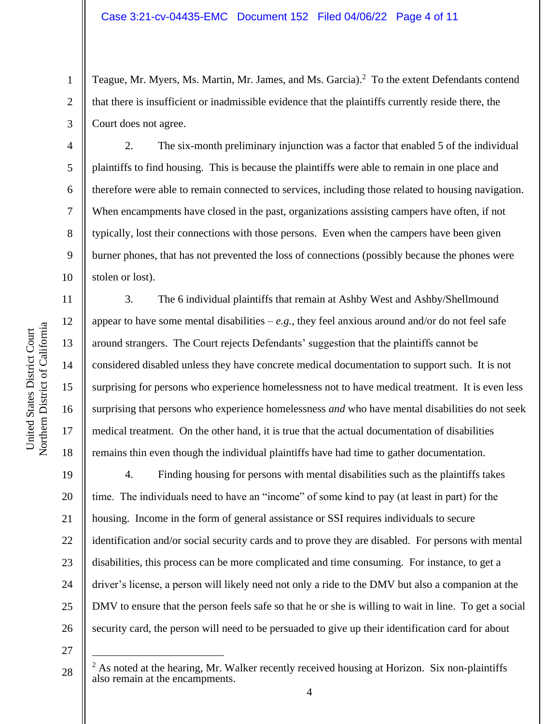Teague, Mr. Myers, Ms. Martin, Mr. James, and Ms. Garcia).<sup>2</sup> To the extent Defendants contend that there is insufficient or inadmissible evidence that the plaintiffs currently reside there, the Court does not agree.

2. The six-month preliminary injunction was a factor that enabled 5 of the individual plaintiffs to find housing. This is because the plaintiffs were able to remain in one place and therefore were able to remain connected to services, including those related to housing navigation. When encampments have closed in the past, organizations assisting campers have often, if not typically, lost their connections with those persons. Even when the campers have been given burner phones, that has not prevented the loss of connections (possibly because the phones were stolen or lost).

3. The 6 individual plaintiffs that remain at Ashby West and Ashby/Shellmound appear to have some mental disabilities  $-e.g.,$  they feel anxious around and/or do not feel safe around strangers. The Court rejects Defendants' suggestion that the plaintiffs cannot be considered disabled unless they have concrete medical documentation to support such. It is not surprising for persons who experience homelessness not to have medical treatment. It is even less surprising that persons who experience homelessness *and* who have mental disabilities do not seek medical treatment. On the other hand, it is true that the actual documentation of disabilities remains thin even though the individual plaintiffs have had time to gather documentation.

19 20 21 22 23 24 25 26 4. Finding housing for persons with mental disabilities such as the plaintiffs takes time. The individuals need to have an "income" of some kind to pay (at least in part) for the housing. Income in the form of general assistance or SSI requires individuals to secure identification and/or social security cards and to prove they are disabled. For persons with mental disabilities, this process can be more complicated and time consuming. For instance, to get a driver's license, a person will likely need not only a ride to the DMV but also a companion at the DMV to ensure that the person feels safe so that he or she is willing to wait in line. To get a social security card, the person will need to be persuaded to give up their identification card for about

27

28

1

2

3

4

5

6

7

8

9

10

11

12

13

14

15

16

17

 $<sup>2</sup>$  As noted at the hearing, Mr. Walker recently received housing at Horizon. Six non-plaintiffs</sup> also remain at the encampments.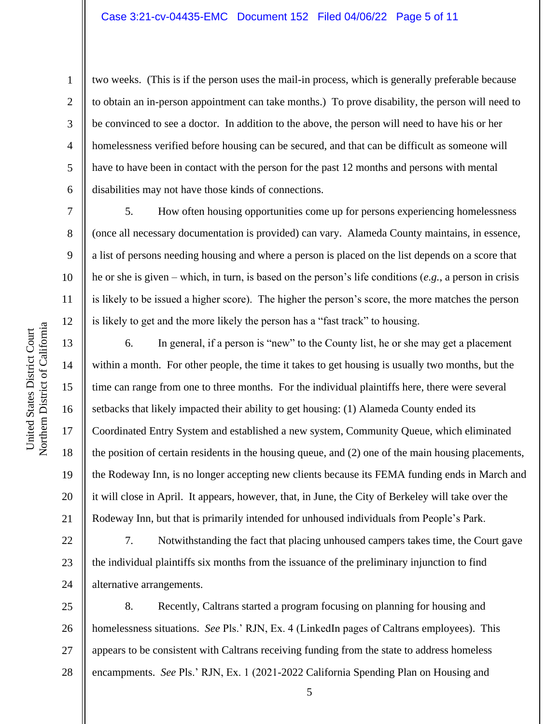#### Case 3:21-cv-04435-EMC Document 152 Filed 04/06/22 Page 5 of 11

two weeks. (This is if the person uses the mail-in process, which is generally preferable because to obtain an in-person appointment can take months.) To prove disability, the person will need to be convinced to see a doctor. In addition to the above, the person will need to have his or her homelessness verified before housing can be secured, and that can be difficult as someone will have to have been in contact with the person for the past 12 months and persons with mental disabilities may not have those kinds of connections.

5. How often housing opportunities come up for persons experiencing homelessness (once all necessary documentation is provided) can vary. Alameda County maintains, in essence, a list of persons needing housing and where a person is placed on the list depends on a score that he or she is given – which, in turn, is based on the person's life conditions (*e.g.*, a person in crisis is likely to be issued a higher score). The higher the person's score, the more matches the person is likely to get and the more likely the person has a "fast track" to housing.

6. In general, if a person is "new" to the County list, he or she may get a placement within a month. For other people, the time it takes to get housing is usually two months, but the time can range from one to three months. For the individual plaintiffs here, there were several setbacks that likely impacted their ability to get housing: (1) Alameda County ended its Coordinated Entry System and established a new system, Community Queue, which eliminated the position of certain residents in the housing queue, and (2) one of the main housing placements, the Rodeway Inn, is no longer accepting new clients because its FEMA funding ends in March and it will close in April. It appears, however, that, in June, the City of Berkeley will take over the Rodeway Inn, but that is primarily intended for unhoused individuals from People's Park.

22 23 24 7. Notwithstanding the fact that placing unhoused campers takes time, the Court gave the individual plaintiffs six months from the issuance of the preliminary injunction to find alternative arrangements.

25 26 27 28 8. Recently, Caltrans started a program focusing on planning for housing and homelessness situations. *See* Pls.' RJN, Ex. 4 (LinkedIn pages of Caltrans employees). This appears to be consistent with Caltrans receiving funding from the state to address homeless encampments. *See* Pls.' RJN, Ex. 1 (2021-2022 California Spending Plan on Housing and

1

2

3

4

5

6

7

8

9

10

11

12

13

14

15

16

17

18

19

20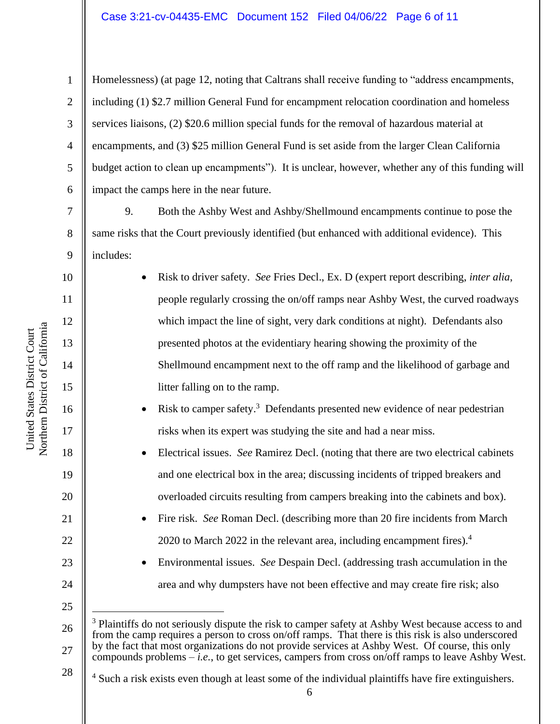### Case 3:21-cv-04435-EMC Document 152 Filed 04/06/22 Page 6 of 11

Homelessness) (at page 12, noting that Caltrans shall receive funding to "address encampments, including (1) \$2.7 million General Fund for encampment relocation coordination and homeless services liaisons, (2) \$20.6 million special funds for the removal of hazardous material at encampments, and (3) \$25 million General Fund is set aside from the larger Clean California budget action to clean up encampments"). It is unclear, however, whether any of this funding will impact the camps here in the near future.

9. Both the Ashby West and Ashby/Shellmound encampments continue to pose the same risks that the Court previously identified (but enhanced with additional evidence). This includes:

> • Risk to driver safety. *See* Fries Decl., Ex. D (expert report describing, *inter alia*, people regularly crossing the on/off ramps near Ashby West, the curved roadways which impact the line of sight, very dark conditions at night). Defendants also presented photos at the evidentiary hearing showing the proximity of the Shellmound encampment next to the off ramp and the likelihood of garbage and litter falling on to the ramp.

• Risk to camper safety.<sup>3</sup> Defendants presented new evidence of near pedestrian risks when its expert was studying the site and had a near miss.

• Electrical issues. *See* Ramirez Decl. (noting that there are two electrical cabinets and one electrical box in the area; discussing incidents of tripped breakers and overloaded circuits resulting from campers breaking into the cabinets and box).

• Fire risk. *See* Roman Decl. (describing more than 20 fire incidents from March 2020 to March 2022 in the relevant area, including encampment fires). $4\overline{ }$ 

• Environmental issues. *See* Despain Decl. (addressing trash accumulation in the area and why dumpsters have not been effective and may create fire risk; also

26 27 <sup>3</sup> Plaintiffs do not seriously dispute the risk to camper safety at Ashby West because access to and from the camp requires a person to cross on/off ramps. That there is this risk is also underscored by the fact that most organizations do not provide services at Ashby West. Of course, this only compounds problems – *i.e.*, to get services, campers from cross on/off ramps to leave Ashby West.

<sup>4</sup> Such a risk exists even though at least some of the individual plaintiffs have fire extinguishers.

1

2

3

4

5

6

7

8

9

10

11

12

13

14

15

16

17

18

19

20

21

22

23

24

25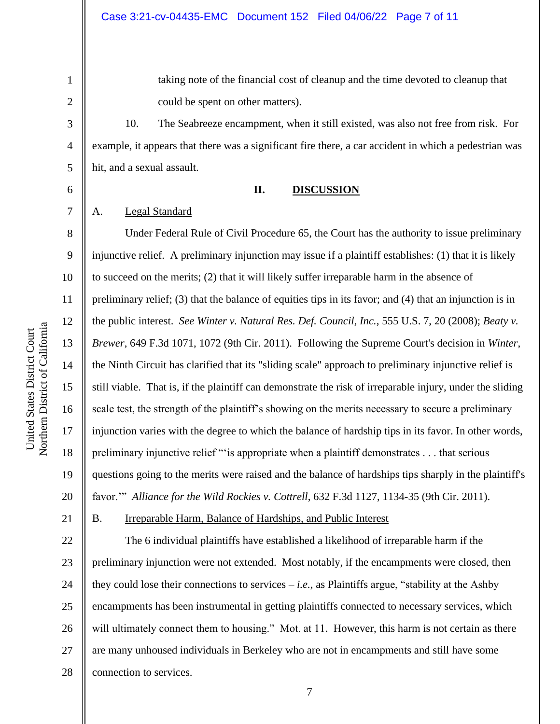1

2

taking note of the financial cost of cleanup and the time devoted to cleanup that could be spent on other matters).

10. The Seabreeze encampment, when it still existed, was also not free from risk. For example, it appears that there was a significant fire there, a car accident in which a pedestrian was hit, and a sexual assault.

#### **II. DISCUSSION**

### A. Legal Standard

20 Under Federal Rule of Civil Procedure 65, the Court has the authority to issue preliminary injunctive relief. A preliminary injunction may issue if a plaintiff establishes: (1) that it is likely to succeed on the merits; (2) that it will likely suffer irreparable harm in the absence of preliminary relief; (3) that the balance of equities tips in its favor; and (4) that an injunction is in the public interest. *See Winter v. Natural Res. Def. Council, Inc.*, 555 U.S. 7, 20 (2008); *Beaty v. Brewer*, 649 F.3d 1071, 1072 (9th Cir. 2011). Following the Supreme Court's decision in *Winter*, the Ninth Circuit has clarified that its "sliding scale" approach to preliminary injunctive relief is still viable. That is, if the plaintiff can demonstrate the risk of irreparable injury, under the sliding scale test, the strength of the plaintiff's showing on the merits necessary to secure a preliminary injunction varies with the degree to which the balance of hardship tips in its favor. In other words, preliminary injunctive relief "'is appropriate when a plaintiff demonstrates . . . that serious questions going to the merits were raised and the balance of hardships tips sharply in the plaintiff's favor.'" *Alliance for the Wild Rockies v. Cottrell*, 632 F.3d 1127, 1134-35 (9th Cir. 2011).

B. Irreparable Harm, Balance of Hardships, and Public Interest

22 23 24 25 26 27 The 6 individual plaintiffs have established a likelihood of irreparable harm if the preliminary injunction were not extended. Most notably, if the encampments were closed, then they could lose their connections to services – *i.e.*, as Plaintiffs argue, "stability at the Ashby encampments has been instrumental in getting plaintiffs connected to necessary services, which will ultimately connect them to housing." Mot. at 11. However, this harm is not certain as there are many unhoused individuals in Berkeley who are not in encampments and still have some connection to services.

17

United States District Court Northern District of California

Northern District of California United States District Court

18

19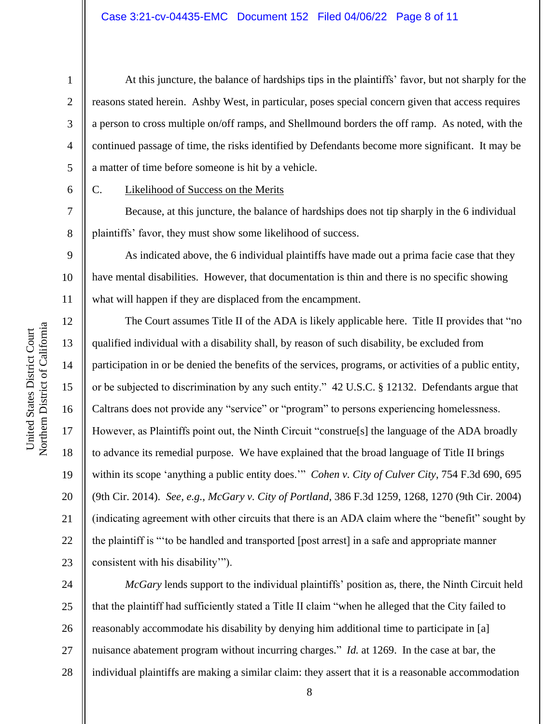8

12

13

14

15

16

17

18

19

20

21

22

23

1

C. Likelihood of Success on the Merits

a matter of time before someone is hit by a vehicle.

Because, at this juncture, the balance of hardships does not tip sharply in the 6 individual plaintiffs' favor, they must show some likelihood of success.

At this juncture, the balance of hardships tips in the plaintiffs' favor, but not sharply for the

reasons stated herein. Ashby West, in particular, poses special concern given that access requires

a person to cross multiple on/off ramps, and Shellmound borders the off ramp. As noted, with the

continued passage of time, the risks identified by Defendants become more significant. It may be

9 10 11 As indicated above, the 6 individual plaintiffs have made out a prima facie case that they have mental disabilities. However, that documentation is thin and there is no specific showing what will happen if they are displaced from the encampment.

The Court assumes Title II of the ADA is likely applicable here. Title II provides that "no qualified individual with a disability shall, by reason of such disability, be excluded from participation in or be denied the benefits of the services, programs, or activities of a public entity, or be subjected to discrimination by any such entity." 42 U.S.C. § 12132. Defendants argue that Caltrans does not provide any "service" or "program" to persons experiencing homelessness. However, as Plaintiffs point out, the Ninth Circuit "construe[s] the language of the ADA broadly to advance its remedial purpose. We have explained that the broad language of Title II brings within its scope 'anything a public entity does.'" *Cohen v. City of Culver City*, 754 F.3d 690, 695 (9th Cir. 2014). *See, e.g.*, *McGary v. City of Portland*, 386 F.3d 1259, 1268, 1270 (9th Cir. 2004) (indicating agreement with other circuits that there is an ADA claim where the "benefit" sought by the plaintiff is "'to be handled and transported [post arrest] in a safe and appropriate manner consistent with his disability'").

24 25 26 27 28 *McGary* lends support to the individual plaintiffs' position as, there, the Ninth Circuit held that the plaintiff had sufficiently stated a Title II claim "when he alleged that the City failed to reasonably accommodate his disability by denying him additional time to participate in [a] nuisance abatement program without incurring charges." *Id.* at 1269. In the case at bar, the individual plaintiffs are making a similar claim: they assert that it is a reasonable accommodation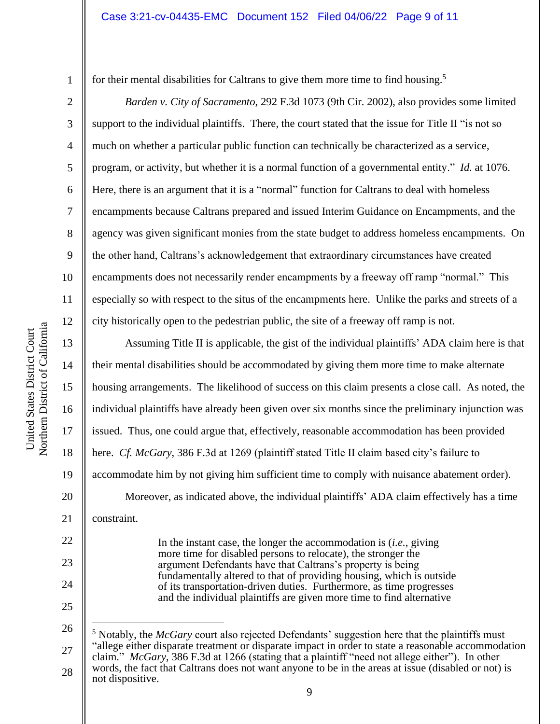for their mental disabilities for Caltrans to give them more time to find housing.<sup>5</sup>

*Barden v. City of Sacramento*, 292 F.3d 1073 (9th Cir. 2002), also provides some limited support to the individual plaintiffs. There, the court stated that the issue for Title II "is not so much on whether a particular public function can technically be characterized as a service, program, or activity, but whether it is a normal function of a governmental entity." *Id.* at 1076. Here, there is an argument that it is a "normal" function for Caltrans to deal with homeless encampments because Caltrans prepared and issued Interim Guidance on Encampments, and the agency was given significant monies from the state budget to address homeless encampments. On the other hand, Caltrans's acknowledgement that extraordinary circumstances have created encampments does not necessarily render encampments by a freeway off ramp "normal." This especially so with respect to the situs of the encampments here. Unlike the parks and streets of a city historically open to the pedestrian public, the site of a freeway off ramp is not.

Assuming Title II is applicable, the gist of the individual plaintiffs' ADA claim here is that their mental disabilities should be accommodated by giving them more time to make alternate housing arrangements. The likelihood of success on this claim presents a close call. As noted, the individual plaintiffs have already been given over six months since the preliminary injunction was issued. Thus, one could argue that, effectively, reasonable accommodation has been provided here. *Cf. McGary*, 386 F.3d at 1269 (plaintiff stated Title II claim based city's failure to accommodate him by not giving him sufficient time to comply with nuisance abatement order). Moreover, as indicated above, the individual plaintiffs' ADA claim effectively has a time constraint.

> In the instant case, the longer the accommodation is (*i.e.*, giving more time for disabled persons to relocate), the stronger the argument Defendants have that Caltrans's property is being fundamentally altered to that of providing housing, which is outside of its transportation-driven duties. Furthermore, as time progresses and the individual plaintiffs are given more time to find alternative

1

2

3

4

5

6

7

8

9

10

11

12

13

14

15

16

17

18

19

20

21

22

23

24

<sup>26</sup> 27 28 <sup>5</sup> Notably, the *McGary* court also rejected Defendants' suggestion here that the plaintiffs must "allege either disparate treatment or disparate impact in order to state a reasonable accommodation claim." *McGary*, 386 F.3d at 1266 (stating that a plaintiff "need not allege either"). In other words, the fact that Caltrans does not want anyone to be in the areas at issue (disabled or not) is not dispositive.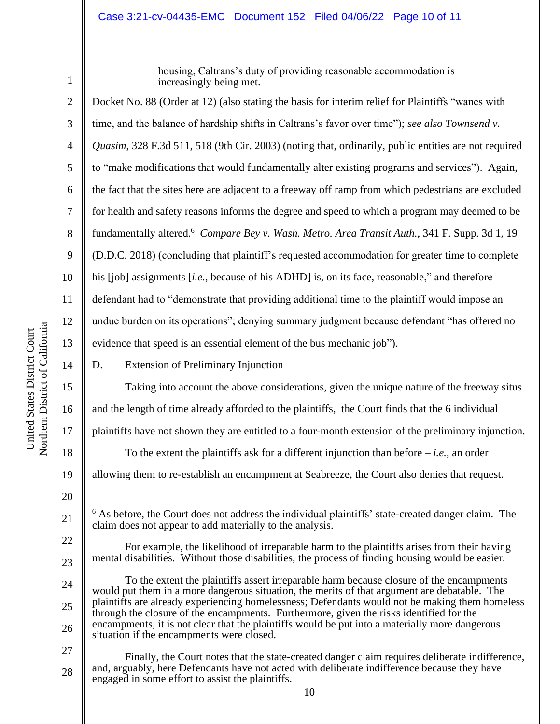### Case 3:21-cv-04435-EMC Document 152 Filed 04/06/22 Page 10 of 11

1

housing, Caltrans's duty of providing reasonable accommodation is increasingly being met.

2 3 4 5 6 7 8 9 10 11 12 13 14 15 16 Docket No. 88 (Order at 12) (also stating the basis for interim relief for Plaintiffs "wanes with time, and the balance of hardship shifts in Caltrans's favor over time"); *see also Townsend v. Quasim*, 328 F.3d 511, 518 (9th Cir. 2003) (noting that, ordinarily, public entities are not required to "make modifications that would fundamentally alter existing programs and services"). Again, the fact that the sites here are adjacent to a freeway off ramp from which pedestrians are excluded for health and safety reasons informs the degree and speed to which a program may deemed to be fundamentally altered. 6 *Compare Bey v. Wash. Metro. Area Transit Auth.*, 341 F. Supp. 3d 1, 19 (D.D.C. 2018) (concluding that plaintiff's requested accommodation for greater time to complete his [job] assignments *[i.e.*, because of his ADHD] is, on its face, reasonable," and therefore defendant had to "demonstrate that providing additional time to the plaintiff would impose an undue burden on its operations"; denying summary judgment because defendant "has offered no evidence that speed is an essential element of the bus mechanic job"). D. Extension of Preliminary Injunction Taking into account the above considerations, given the unique nature of the freeway situs and the length of time already afforded to the plaintiffs, the Court finds that the 6 individual

17 plaintiffs have not shown they are entitled to a four-month extension of the preliminary injunction.

To the extent the plaintiffs ask for a different injunction than before  $-i.e.,$  an order

19 allowing them to re-establish an encampment at Seabreeze, the Court also denies that request.

20

21

22

23

24

25

26

18

- $6$  As before, the Court does not address the individual plaintiffs' state-created danger claim. The claim does not appear to add materially to the analysis.
- For example, the likelihood of irreparable harm to the plaintiffs arises from their having mental disabilities. Without those disabilities, the process of finding housing would be easier.

To the extent the plaintiffs assert irreparable harm because closure of the encampments would put them in a more dangerous situation, the merits of that argument are debatable. The plaintiffs are already experiencing homelessness; Defendants would not be making them homeless through the closure of the encampments. Furthermore, given the risks identified for the encampments, it is not clear that the plaintiffs would be put into a materially more dangerous situation if the encampments were closed.

27 28 Finally, the Court notes that the state-created danger claim requires deliberate indifference, and, arguably, here Defendants have not acted with deliberate indifference because they have engaged in some effort to assist the plaintiffs.